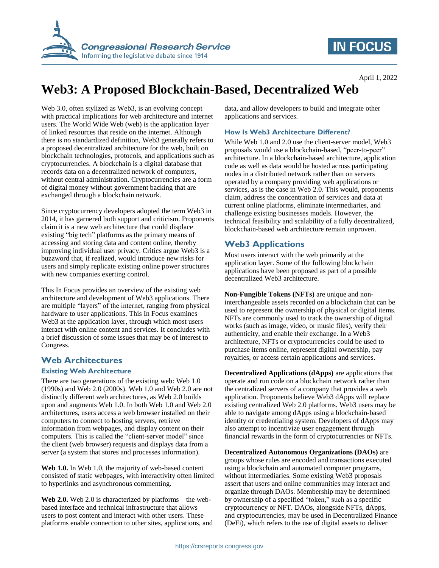

## **IN FOCUS**

# **Web3: A Proposed Blockchain-Based, Decentralized Web**

Web 3.0, often stylized as Web3, is an evolving concept with practical implications for web architecture and internet users. The World Wide Web (web) is the application layer of linked resources that reside on the internet. Although there is no standardized definition, Web3 generally refers to a proposed decentralized architecture for the web, built on blockchain technologies, protocols, and applications such as cryptocurrencies. A blockchain is a digital database that records data on a decentralized network of computers, without central administration. Cryptocurrencies are a form of digital money without government backing that are exchanged through a blockchain network.

Since cryptocurrency developers adopted the term Web3 in 2014, it has garnered both support and criticism. Proponents claim it is a new web architecture that could displace existing "big tech" platforms as the primary means of accessing and storing data and content online, thereby improving individual user privacy. Critics argue Web3 is a buzzword that, if realized, would introduce new risks for users and simply replicate existing online power structures with new companies exerting control.

This In Focus provides an overview of the existing web architecture and development of Web3 applications. There are multiple "layers" of the internet, ranging from physical hardware to user applications. This In Focus examines Web3 at the application layer, through which most users interact with online content and services. It concludes with a brief discussion of some issues that may be of interest to Congress.

### **Web Architectures**

#### **Existing Web Architecture**

There are two generations of the existing web: Web 1.0 (1990s) and Web 2.0 (2000s). Web 1.0 and Web 2.0 are not distinctly different web architectures, as Web 2.0 builds upon and augments Web 1.0. In both Web 1.0 and Web 2.0 architectures, users access a web browser installed on their computers to connect to hosting servers, retrieve information from webpages, and display content on their computers. This is called the "client-server model" since the client (web browser) requests and displays data from a server (a system that stores and processes information).

**Web 1.0.** In Web 1.0, the majority of web-based content consisted of static webpages, with interactivity often limited to hyperlinks and asynchronous commenting.

**Web 2.0.** Web 2.0 is characterized by platforms—the webbased interface and technical infrastructure that allows users to post content and interact with other users. These platforms enable connection to other sites, applications, and data, and allow developers to build and integrate other applications and services.

#### **How Is Web3 Architecture Different?**

While Web 1.0 and 2.0 use the client-server model, Web3 proposals would use a blockchain-based, "peer-to-peer" architecture. In a blockchain-based architecture, application code as well as data would be hosted across participating nodes in a distributed network rather than on servers operated by a company providing web applications or services, as is the case in Web 2.0. This would, proponents claim, address the concentration of services and data at current online platforms, eliminate intermediaries, and challenge existing businesses models. However, the technical feasibility and scalability of a fully decentralized, blockchain-based web architecture remain unproven.

## **Web3 Applications**

Most users interact with the web primarily at the application layer. Some of the following blockchain applications have been proposed as part of a possible decentralized Web3 architecture.

**Non-Fungible Tokens (NFTs)** are unique and noninterchangeable assets recorded on a blockchain that can be used to represent the ownership of physical or digital items. NFTs are commonly used to track the ownership of digital works (such as image, video, or music files), verify their authenticity, and enable their exchange. In a Web3 architecture, NFTs or cryptocurrencies could be used to purchase items online, represent digital ownership, pay royalties, or access certain applications and services.

**Decentralized Applications (dApps)** are applications that operate and run code on a blockchain network rather than the centralized servers of a company that provides a web application. Proponents believe Web3 dApps will replace existing centralized Web 2.0 platforms. Web3 users may be able to navigate among dApps using a blockchain-based identity or credentialing system. Developers of dApps may also attempt to incentivize user engagement through financial rewards in the form of cryptocurrencies or NFTs.

**Decentralized Autonomous Organizations (DAOs)** are groups whose rules are encoded and transactions executed using a blockchain and automated computer programs, without intermediaries. Some existing Web3 proposals assert that users and online communities may interact and organize through DAOs. Membership may be determined by ownership of a specified "token," such as a specific cryptocurrency or NFT. DAOs, alongside NFTs, dApps, and cryptocurrencies, may be used in Decentralized Finance (DeFi), which refers to the use of digital assets to deliver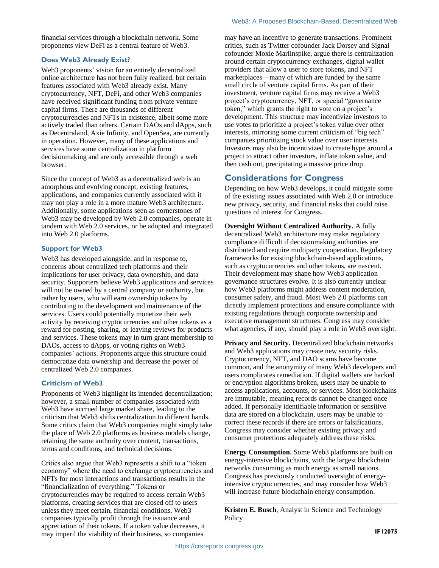financial services through a blockchain network. Some proponents view DeFi as a central feature of Web3.

#### **Does Web3 Already Exist?**

Web3 proponents' vision for an entirely decentralized online architecture has not been fully realized, but certain features associated with Web3 already exist. Many cryptocurrency, NFT, DeFi, and other Web3 companies have received significant funding from private venture capital firms. There are thousands of different cryptocurrencies and NFTs in existence, albeit some more actively traded than others. Certain DAOs and dApps, such as Decentraland, Axie Infinity, and OpenSea, are currently in operation. However, many of these applications and services have some centralization in platform decisionmaking and are only accessible through a web browser.

Since the concept of Web3 as a decentralized web is an amorphous and evolving concept, existing features, applications, and companies currently associated with it may not play a role in a more mature Web3 architecture. Additionally, some applications seen as cornerstones of Web3 may be developed by Web 2.0 companies, operate in tandem with Web 2.0 services, or be adopted and integrated into Web 2.0 platforms.

#### **Support for Web3**

Web3 has developed alongside, and in response to, concerns about centralized tech platforms and their implications for user privacy, data ownership, and data security. Supporters believe Web3 applications and services will not be owned by a central company or authority, but rather by users, who will earn ownership tokens by contributing to the development and maintenance of the services. Users could potentially monetize their web activity by receiving cryptocurrencies and other tokens as a reward for posting, sharing, or leaving reviews for products and services. These tokens may in turn grant membership to DAOs, access to dApps, or voting rights on Web3 companies' actions. Proponents argue this structure could democratize data ownership and decrease the power of centralized Web 2.0 companies.

#### **Criticism of Web3**

Proponents of Web3 highlight its intended decentralization; however, a small number of companies associated with Web3 have accrued large market share, leading to the criticism that Web3 shifts centralization to different hands. Some critics claim that Web3 companies might simply take the place of Web 2.0 platforms as business models change, retaining the same authority over content, transactions, terms and conditions, and technical decisions.

Critics also argue that Web3 represents a shift to a "token economy" where the need to exchange cryptocurrencies and NFTs for most interactions and transactions results in the "financialization of everything." Tokens or cryptocurrencies may be required to access certain Web3 platforms, creating services that are closed off to users unless they meet certain, financial conditions. Web3 companies typically profit through the issuance and appreciation of their tokens. If a token value decreases, it may imperil the viability of their business, so companies

may have an incentive to generate transactions. Prominent critics, such as Twitter cofounder Jack Dorsey and Signal cofounder Moxie Marlinspike, argue there is centralization around certain cryptocurrency exchanges, digital wallet providers that allow a user to store tokens, and NFT marketplaces—many of which are funded by the same small circle of venture capital firms. As part of their investment, venture capital firms may receive a Web3 project's cryptocurrency, NFT, or special "governance token," which grants the right to vote on a project's development. This structure may incentivize investors to use votes to prioritize a project's token value over other interests, mirroring some current criticism of "big tech" companies prioritizing stock value over user interests. Investors may also be incentivized to create hype around a project to attract other investors, inflate token value, and then cash out, precipitating a massive price drop.

### **Considerations for Congress**

Depending on how Web3 develops, it could mitigate some of the existing issues associated with Web 2.0 or introduce new privacy, security, and financial risks that could raise questions of interest for Congress.

**Oversight Without Centralized Authority.** A fully decentralized Web3 architecture may make regulatory compliance difficult if decisionmaking authorities are distributed and require multiparty cooperation. Regulatory frameworks for existing blockchain-based applications, such as cryptocurrencies and other tokens, are nascent. Their development may shape how Web3 application governance structures evolve. It is also currently unclear how Web3 platforms might address content moderation, consumer safety, and fraud. Most Web 2.0 platforms can directly implement protections and ensure compliance with existing regulations through corporate ownership and executive management structures. Congress may consider what agencies, if any, should play a role in Web3 oversight.

**Privacy and Security.** Decentralized blockchain networks and Web3 applications may create new security risks. Cryptocurrency, NFT, and DAO scams have become common, and the anonymity of many Web3 developers and users complicates remediation. If digital wallets are hacked or encryption algorithms broken, users may be unable to access applications, accounts, or services. Most blockchains are immutable, meaning records cannot be changed once added. If personally identifiable information or sensitive data are stored on a blockchain, users may be unable to correct these records if there are errors or falsifications. Congress may consider whether existing privacy and consumer protections adequately address these risks.

**Energy Consumption.** Some Web3 platforms are built on energy-intensive blockchains, with the largest blockchain networks consuming as much energy as small nations. Congress has previously conducted oversight of energyintensive cryptocurrencies, and may consider how Web3 will increase future blockchain energy consumption.

**Kristen E. Busch**, Analyst in Science and Technology Policy